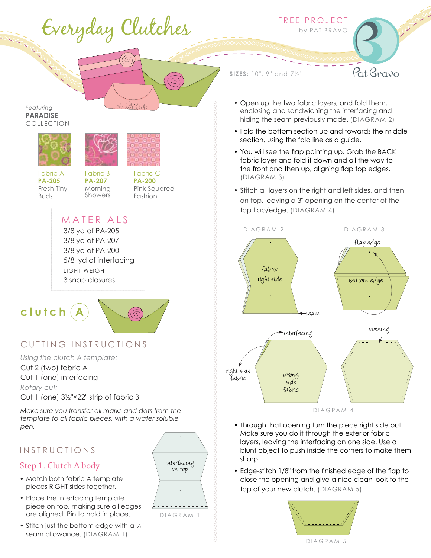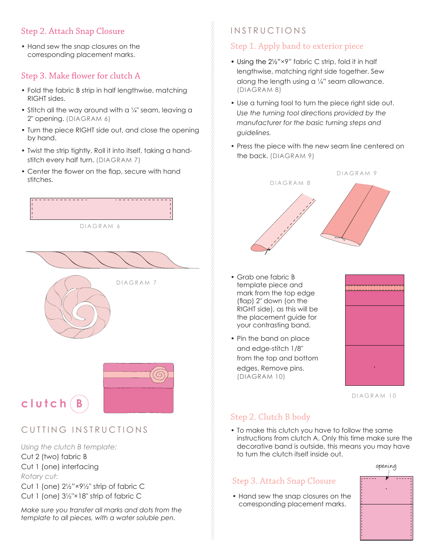## Step 2. Attach Snap Closure

• Hand sew the snap closures on the corresponding placement marks.

## Step 3. Make flower for clutch A

- Fold the fabric B strip in half lengthwise, matching RIGHT sides.
- Stitch all the way around with a  $\frac{1}{4}$ " seam, leaving a 2" opening. (DIAGRAM 6)
- Turn the piece RIGHT side out, and close the opening by hand.
- Twist the strip tightly. Roll it into itself, taking a handstitch every half turn. (DIAGRAM 7)
- Center the flower on the flap, secure with hand stitches.





# CUTTING INSTRUCTIONS

*Using the clutch B template:*

Cut 2 (two) fabric B Cut 1 (one) interfacing *Rotary cut:* Cut 1 (one) 2½"×9½" strip of fabric C Cut 1 (one) 3½"×18" strip of fabric C

*Make sure you transfer all marks and dots from the template to all pieces, with a water soluble pen.*

# **INSTRUCTIONS**

#### Step 1. Apply band to exterior piece

- Using the 21/2"×9" fabric C strip, fold it in half lengthwise, matching right side together. Sew along the length using a  $\frac{1}{4}$ " seam allowance. (DIAGRAM 8)
- Use a turning tool to turn the piece right side out. *Use the turning tool directions provided by the manufacturer for the basic turning steps and guidelines.*
- Press the piece with the new seam line centered on the back. (DIAGRAM 9)



- Grab one fabric B template piece and mark from the top edge (flap) 2" down (on the RIGHT side), as this will be the placement guide for your contrasting band.
- Pin the band on place and edge-stitch 1/8" from the top and bottom edges. Remove pins. (DIAGRAM 10)



DIAGRAM 10

#### Step 2. Clutch B body

• To make this clutch you have to follow the same instructions from clutch A. Only this time make sure the decorative band is outside, this means you may have to turn the clutch itself inside out.

#### Step 3. Attach Snap Closure

• Hand sew the snap closures on the corresponding placement marks.

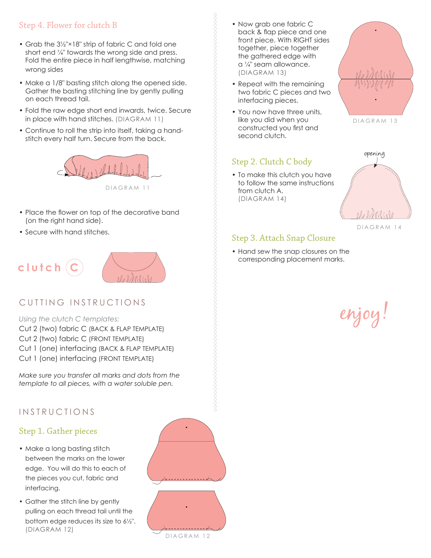## Step 4. Flower for clutch B

- Grab the 3½"×18" strip of fabric C and fold one short end ¼" towards the wrong side and press. Fold the entire piece in half lengthwise, matching wrong sides
- Make a 1/8" basting stitch along the opened side. Gather the basting stitching line by gently pulling on each thread tail.
- Fold the raw edge short end inwards, twice. Secure in place with hand stitches. (DIAGRAM 11)
- Continue to roll the strip into itself, taking a handstitch every half turn. Secure from the back.



- Place the flower on top of the decorative band (on the right hand side).
- Secure with hand stitches.





- *Using the clutch C templates:*
- Cut 2 (two) fabric C (BACK & FLAP TEMPLATE) Cut 2 (two) fabric C (FRONT TEMPLATE) Cut 1 (one) interfacing (BACK & FLAP TEMPLATE)
- Cut 1 (one) interfacing (FRONT TEMPLATE)

*Make sure you transfer all marks and dots from the template to all pieces, with a water soluble pen.*

#### **INSTRUCTIONS**

#### Step 1. Gather pieces

- Make a long basting stitch between the marks on the lower edge. You will do this to each of the pieces you cut, fabric and interfacing.
- Gather the stitch line by gently pulling on each thread tail until the bottom edge reduces its size to 6½". (DIAGRAM 12)



- Now grab one fabric C back & flap piece and one front piece. With RIGHT sides together, piece together the gathered edge with a ¼" seam allowance. (DIAGRAM 13)
- Repeat with the remaining two fabric C pieces and two interfacing pieces.
- You now have three units, like you did when you constructed you first and second clutch.

#### Step 2. Clutch C body

• To make this clutch you have to follow the same instructions from clutch A. (DIAGRAM 14)



DIAGRAM 13



#### DIAGRAM 14

#### Step 3. Attach Snap Closure

• Hand sew the snap closures on the corresponding placement marks.

# enjoy!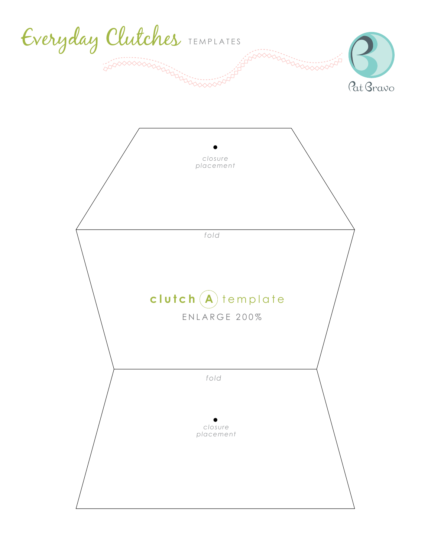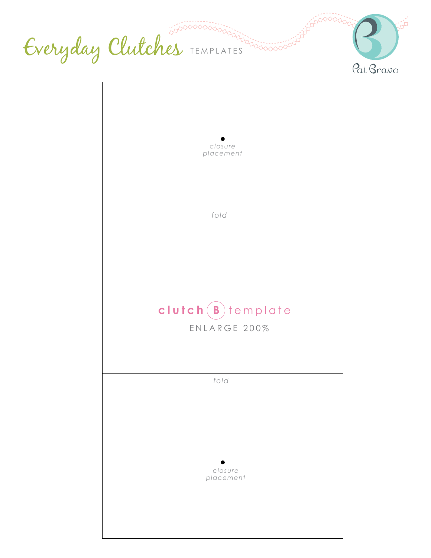